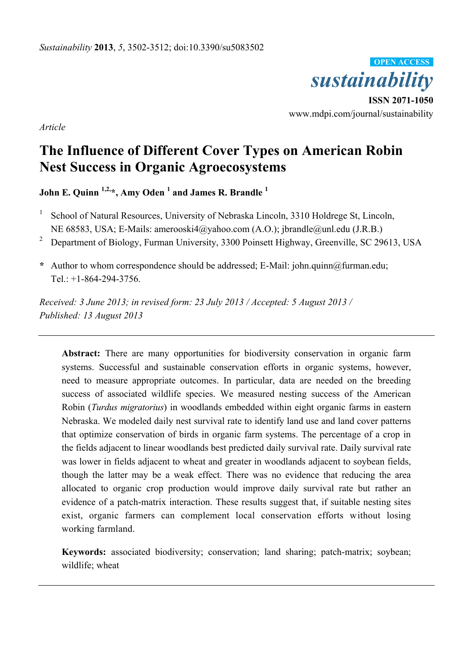

**ISSN 2071-1050** www.mdpi.com/journal/sustainability

*Article*

# **The Influence of Different Cover Types on American Robin Nest Success in Organic Agroecosystems**

**John E. Quinn 1,2,\*, Amy Oden <sup>1</sup> and James R. Brandle <sup>1</sup>**

- 1 School of Natural Resources, University of Nebraska Lincoln, 3310 Holdrege St, Lincoln, NE 68583, USA; E-Mails: amerooski4@yahoo.com (A.O.); jbrandle@unl.edu (J.R.B.)
- <sup>2</sup> Department of Biology, Furman University, 3300 Poinsett Highway, Greenville, SC 29613, USA
- **\*** Author to whom correspondence should be addressed; E-Mail: john.quinn@furman.edu; Tel.: +1-864-294-3756.

*Received: 3 June 2013; in revised form: 23 July 2013 / Accepted: 5 August 2013 / Published: 13 August 2013*

**Abstract:** There are many opportunities for biodiversity conservation in organic farm systems. Successful and sustainable conservation efforts in organic systems, however, need to measure appropriate outcomes. In particular, data are needed on the breeding success of associated wildlife species. We measured nesting success of the American Robin (*Turdus migratorius*) in woodlands embedded within eight organic farms in eastern Nebraska. We modeled daily nest survival rate to identify land use and land cover patterns that optimize conservation of birds in organic farm systems. The percentage of a crop in the fields adjacent to linear woodlands best predicted daily survival rate. Daily survival rate was lower in fields adjacent to wheat and greater in woodlands adjacent to soybean fields, though the latter may be a weak effect. There was no evidence that reducing the area allocated to organic crop production would improve daily survival rate but rather an evidence of a patch-matrix interaction. These results suggest that, if suitable nesting sites exist, organic farmers can complement local conservation efforts without losing working farmland.

**Keywords:** associated biodiversity; conservation; land sharing; patch-matrix; soybean; wildlife; wheat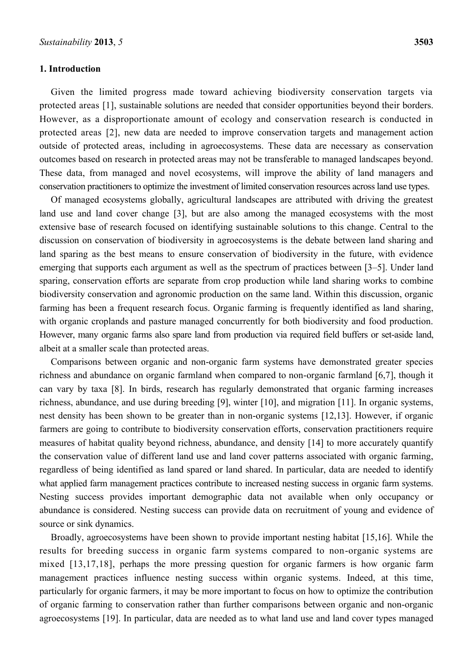### **1. Introduction**

Given the limited progress made toward achieving biodiversity conservation targets via protected areas [1], sustainable solutions are needed that consider opportunities beyond their borders. However, as a disproportionate amount of ecology and conservation research is conducted in protected areas [2], new data are needed to improve conservation targets and management action outside of protected areas, including in agroecosystems. These data are necessary as conservation outcomes based on research in protected areas may not be transferable to managed landscapes beyond. These data, from managed and novel ecosystems, will improve the ability of land managers and conservation practitioners to optimize the investment of limited conservation resources across land use types.

Of managed ecosystems globally, agricultural landscapes are attributed with driving the greatest land use and land cover change [3], but are also among the managed ecosystems with the most extensive base of research focused on identifying sustainable solutions to this change. Central to the discussion on conservation of biodiversity in agroecosystems is the debate between land sharing and land sparing as the best means to ensure conservation of biodiversity in the future, with evidence emerging that supports each argument as well as the spectrum of practices between [3–5]. Under land sparing, conservation efforts are separate from crop production while land sharing works to combine biodiversity conservation and agronomic production on the same land. Within this discussion, organic farming has been a frequent research focus. Organic farming is frequently identified as land sharing, with organic croplands and pasture managed concurrently for both biodiversity and food production. However, many organic farms also spare land from production via required field buffers or set-aside land, albeit at a smaller scale than protected areas.

Comparisons between organic and non-organic farm systems have demonstrated greater species richness and abundance on organic farmland when compared to non-organic farmland [6,7], though it can vary by taxa [8]. In birds, research has regularly demonstrated that organic farming increases richness, abundance, and use during breeding [9], winter [10], and migration [11]. In organic systems, nest density has been shown to be greater than in non-organic systems [12,13]. However, if organic farmers are going to contribute to biodiversity conservation efforts, conservation practitioners require measures of habitat quality beyond richness, abundance, and density [14] to more accurately quantify the conservation value of different land use and land cover patterns associated with organic farming, regardless of being identified as land spared or land shared. In particular, data are needed to identify what applied farm management practices contribute to increased nesting success in organic farm systems. Nesting success provides important demographic data not available when only occupancy or abundance is considered. Nesting success can provide data on recruitment of young and evidence of source or sink dynamics.

Broadly, agroecosystems have been shown to provide important nesting habitat [15,16]. While the results for breeding success in organic farm systems compared to non-organic systems are mixed [13,17,18], perhaps the more pressing question for organic farmers is how organic farm management practices influence nesting success within organic systems. Indeed, at this time, particularly for organic farmers, it may be more important to focus on how to optimize the contribution of organic farming to conservation rather than further comparisons between organic and non-organic agroecosystems [19]. In particular, data are needed as to what land use and land cover types managed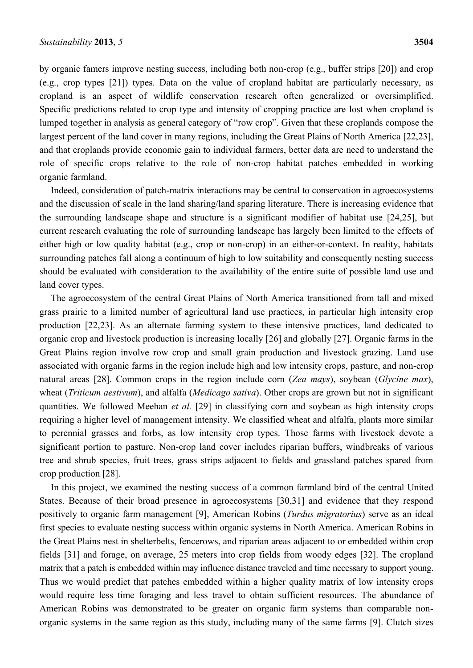by organic famers improve nesting success, including both non-crop (e.g., buffer strips [20]) and crop (e.g., crop types [21]) types. Data on the value of cropland habitat are particularly necessary, as cropland is an aspect of wildlife conservation research often generalized or oversimplified. Specific predictions related to crop type and intensity of cropping practice are lost when cropland is lumped together in analysis as general category of "row crop". Given that these croplands compose the largest percent of the land cover in many regions, including the Great Plains of North America [22,23], and that croplands provide economic gain to individual farmers, better data are need to understand the role of specific crops relative to the role of non-crop habitat patches embedded in working organic farmland.

Indeed, consideration of patch-matrix interactions may be central to conservation in agroecosystems and the discussion of scale in the land sharing/land sparing literature. There is increasing evidence that the surrounding landscape shape and structure is a significant modifier of habitat use [24,25], but current research evaluating the role of surrounding landscape has largely been limited to the effects of either high or low quality habitat (e.g., crop or non-crop) in an either-or-context. In reality, habitats surrounding patches fall along a continuum of high to low suitability and consequently nesting success should be evaluated with consideration to the availability of the entire suite of possible land use and land cover types.

The agroecosystem of the central Great Plains of North America transitioned from tall and mixed grass prairie to a limited number of agricultural land use practices, in particular high intensity crop production [22,23]. As an alternate farming system to these intensive practices, land dedicated to organic crop and livestock production is increasing locally [26] and globally [27]. Organic farms in the Great Plains region involve row crop and small grain production and livestock grazing. Land use associated with organic farms in the region include high and low intensity crops, pasture, and non-crop natural areas [28]. Common crops in the region include corn (*Zea mays*), soybean (*Glycine max*), wheat (*Triticum aestivum*), and alfalfa (*Medicago sativa*). Other crops are grown but not in significant quantities. We followed Meehan *et al.* [29] in classifying corn and soybean as high intensity crops requiring a higher level of management intensity. We classified wheat and alfalfa, plants more similar to perennial grasses and forbs, as low intensity crop types. Those farms with livestock devote a significant portion to pasture. Non-crop land cover includes riparian buffers, windbreaks of various tree and shrub species, fruit trees, grass strips adjacent to fields and grassland patches spared from crop production [28].

In this project, we examined the nesting success of a common farmland bird of the central United States. Because of their broad presence in agroecosystems [30,31] and evidence that they respond positively to organic farm management [9], American Robins (*Turdus migratorius*) serve as an ideal first species to evaluate nesting success within organic systems in North America. American Robins in the Great Plains nest in shelterbelts, fencerows, and riparian areas adjacent to or embedded within crop fields [31] and forage, on average, 25 meters into crop fields from woody edges [32]. The cropland matrix that a patch is embedded within may influence distance traveled and time necessary to support young. Thus we would predict that patches embedded within a higher quality matrix of low intensity crops would require less time foraging and less travel to obtain sufficient resources. The abundance of American Robins was demonstrated to be greater on organic farm systems than comparable nonorganic systems in the same region as this study, including many of the same farms [9]. Clutch sizes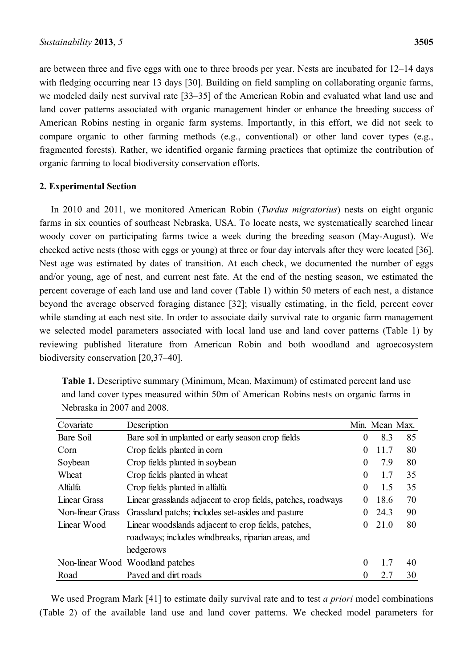are between three and five eggs with one to three broods per year. Nests are incubated for 12–14 days with fledging occurring near 13 days [30]. Building on field sampling on collaborating organic farms, we modeled daily nest survival rate [33–35] of the American Robin and evaluated what land use and land cover patterns associated with organic management hinder or enhance the breeding success of American Robins nesting in organic farm systems. Importantly, in this effort, we did not seek to compare organic to other farming methods (e.g., conventional) or other land cover types (e.g., fragmented forests). Rather, we identified organic farming practices that optimize the contribution of organic farming to local biodiversity conservation efforts.

## **2. Experimental Section**

In 2010 and 2011, we monitored American Robin (*Turdus migratorius*) nests on eight organic farms in six counties of southeast Nebraska, USA. To locate nests, we systematically searched linear woody cover on participating farms twice a week during the breeding season (May-August). We checked active nests (those with eggs or young) at three or four day intervals after they were located [36]. Nest age was estimated by dates of transition. At each check, we documented the number of eggs and/or young, age of nest, and current nest fate. At the end of the nesting season, we estimated the percent coverage of each land use and land cover (Table 1) within 50 meters of each nest, a distance beyond the average observed foraging distance [32]; visually estimating, in the field, percent cover while standing at each nest site. In order to associate daily survival rate to organic farm management we selected model parameters associated with local land use and land cover patterns (Table 1) by reviewing published literature from American Robin and both woodland and agroecosystem biodiversity conservation [20,37–40].

| Covariate           | Description                                                  |                | Min. Mean Max. |    |
|---------------------|--------------------------------------------------------------|----------------|----------------|----|
| Bare Soil           | Bare soil in unplanted or early season crop fields           | $\overline{0}$ | 8.3            | 85 |
| Corn                | Crop fields planted in corn                                  | $\mathbf{0}$   | 11.7           | 80 |
| Soybean             | Crop fields planted in soybean                               | $\theta$       | 7.9            | 80 |
| Wheat               | Crop fields planted in wheat                                 | $\mathbf{0}$   | 1.7            | 35 |
| Alfalfa             | Crop fields planted in alfalfa                               | $\mathbf{0}$   | 1.5            | 35 |
| <b>Linear Grass</b> | Linear grasslands adjacent to crop fields, patches, roadways |                |                |    |
| Non-linear Grass    | Grassland patchs; includes set-asides and pasture            | $\overline{0}$ | 24.3           | 90 |
| Linear Wood         | Linear woodslands adjacent to crop fields, patches,          | $\overline{0}$ | 21.0           | 80 |
|                     | roadways; includes windbreaks, riparian areas, and           |                |                |    |
|                     | hedgerows                                                    |                |                |    |
|                     | Non-linear Wood Woodland patches                             | $\theta$       | 1.7            | 40 |
| Road                | Payed and dirt roads                                         | $\theta$       | 2.7            | 30 |

**Table 1.** Descriptive summary (Minimum, Mean, Maximum) of estimated percent land use and land cover types measured within 50m of American Robins nests on organic farms in Nebraska in 2007 and 2008.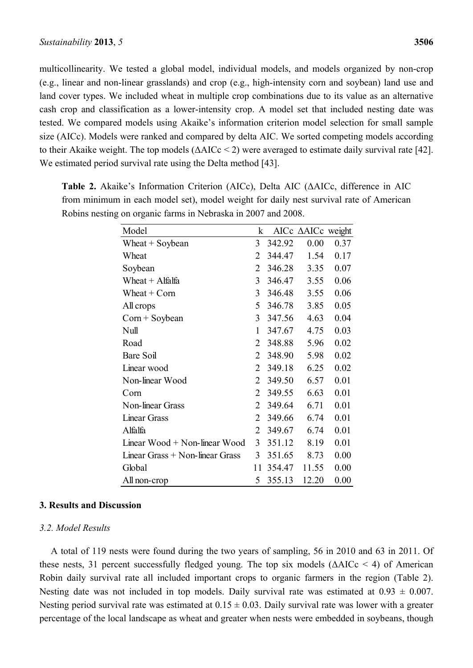multicollinearity. We tested a global model, individual models, and models organized by non-crop (e.g., linear and non-linear grasslands) and crop (e.g., high-intensity corn and soybean) land use and land cover types. We included wheat in multiple crop combinations due to its value as an alternative cash crop and classification as a lower-intensity crop. A model set that included nesting date was tested. We compared models using Akaike's information criterion model selection for small sample size (AICc). Models were ranked and compared by delta AIC. We sorted competing models according to their Akaike weight. The top models  $(\Delta AICc < 2)$  were averaged to estimate daily survival rate [42]. We estimated period survival rate using the Delta method [43].

| Model                             | k  |        | AICc $\triangle$ AICc weight |      |
|-----------------------------------|----|--------|------------------------------|------|
| Wheat $+$ Soybean                 |    | 342.92 | 0.00                         | 0.37 |
| Wheat                             | 2  | 344.47 | 1.54                         | 0.17 |
| Soybean                           | 2  | 346.28 | 3.35                         | 0.07 |
| Wheat $+$ Alfalfa                 | 3  | 346.47 | 3.55                         | 0.06 |
| Wheat $+$ Corn                    | 3  | 346.48 | 3.55                         | 0.06 |
| All crops                         | 5  | 346.78 | 3.85                         | 0.05 |
| $Com + Soybean$                   | 3  | 347.56 | 4.63                         | 0.04 |
| Null                              | 1  | 347.67 | 4.75                         | 0.03 |
| Road                              | 2  | 348.88 | 5.96                         | 0.02 |
| Bare Soil                         | 2  | 348.90 | 5.98                         | 0.02 |
| Linear wood                       | 2  | 349.18 | 6.25                         | 0.02 |
| Non-linear Wood                   | 2  | 349.50 | 6.57                         | 0.01 |
| Corn                              | 2  | 349.55 | 6.63                         | 0.01 |
| Non-linear Grass                  | 2  | 349.64 | 6.71                         | 0.01 |
| <b>Linear Grass</b>               | 2  | 349.66 | 6.74                         | 0.01 |
| Alfalfa                           | 2  | 349.67 | 6.74                         | 0.01 |
| Linear $Wood + Non-linear Wood$   | 3  | 351.12 | 8.19                         | 0.01 |
| Linear Grass $+$ Non-linear Grass | 3  | 351.65 | 8.73                         | 0.00 |
| Global                            | 11 | 354.47 | 11.55                        | 0.00 |
| All non-crop                      | 5  | 355.13 | 12.20                        | 0.00 |

**Table 2.** Akaike's Information Criterion (AICc), Delta AIC (ΔAICc, difference in AIC from minimum in each model set), model weight for daily nest survival rate of American Robins nesting on organic farms in Nebraska in 2007 and 2008.

#### **3. Results and Discussion**

#### *3.2. Model Results*

A total of 119 nests were found during the two years of sampling, 56 in 2010 and 63 in 2011. Of these nests, 31 percent successfully fledged young. The top six models  $(\Delta AICc \le 4)$  of American Robin daily survival rate all included important crops to organic farmers in the region (Table 2). Nesting date was not included in top models. Daily survival rate was estimated at  $0.93 \pm 0.007$ . Nesting period survival rate was estimated at  $0.15 \pm 0.03$ . Daily survival rate was lower with a greater percentage of the local landscape as wheat and greater when nests were embedded in soybeans, though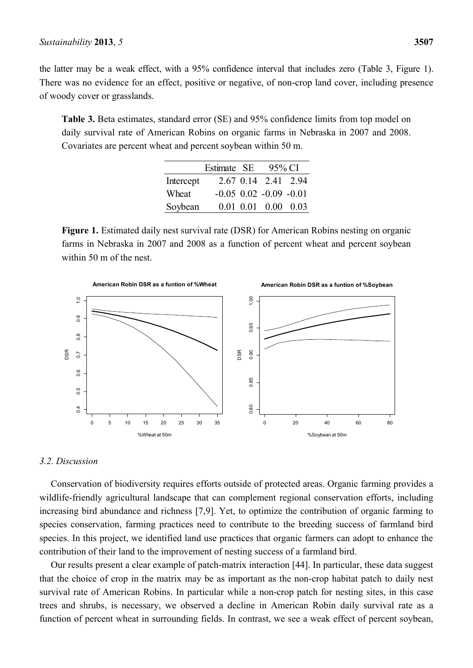the latter may be a weak effect, with a 95% confidence interval that includes zero (Table 3, Figure 1). There was no evidence for an effect, positive or negative, of non-crop land cover, including presence of woody cover or grasslands.

**Table 3.** Beta estimates, standard error (SE) and 95% confidence limits from top model on daily survival rate of American Robins on organic farms in Nebraska in 2007 and 2008. Covariates are percent wheat and percent soybean within 50 m.

|           | Estimate SE | 95% CI                         |  |
|-----------|-------------|--------------------------------|--|
| Intercept |             | 2.67 0.14 2.41 2.94            |  |
| Wheat     |             | $-0.05$ $0.02$ $-0.09$ $-0.01$ |  |
| Soybean   |             | $0.01$ $0.01$ $0.00$ $0.03$    |  |

**Figure 1.** Estimated daily nest survival rate (DSR) for American Robins nesting on organic farms in Nebraska in 2007 and 2008 as a function of percent wheat and percent soybean within 50 m of the nest.



#### *3.2. Discussion*

Conservation of biodiversity requires efforts outside of protected areas. Organic farming provides a wildlife-friendly agricultural landscape that can complement regional conservation efforts, including increasing bird abundance and richness [7,9]. Yet, to optimize the contribution of organic farming to species conservation, farming practices need to contribute to the breeding success of farmland bird species. In this project, we identified land use practices that organic farmers can adopt to enhance the contribution of their land to the improvement of nesting success of a farmland bird.

Our results present a clear example of patch-matrix interaction [44]. In particular, these data suggest that the choice of crop in the matrix may be as important as the non-crop habitat patch to daily nest survival rate of American Robins. In particular while a non-crop patch for nesting sites, in this case trees and shrubs, is necessary, we observed a decline in American Robin daily survival rate as a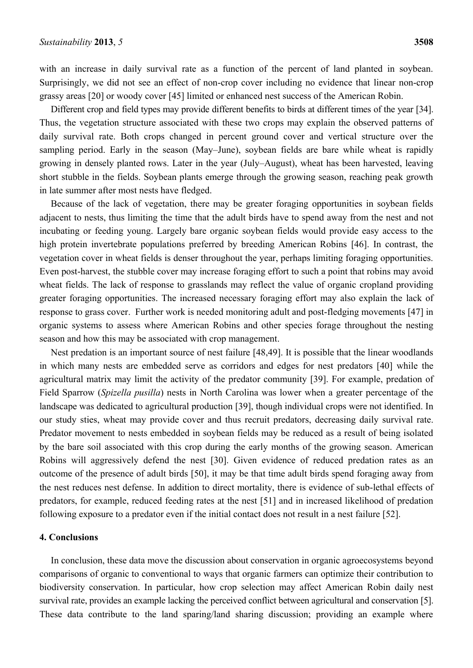with an increase in daily survival rate as a function of the percent of land planted in soybean. Surprisingly, we did not see an effect of non-crop cover including no evidence that linear non-crop grassy areas [20] or woody cover [45] limited or enhanced nest success of the American Robin.

Different crop and field types may provide different benefits to birds at different times of the year [34]. Thus, the vegetation structure associated with these two crops may explain the observed patterns of daily survival rate. Both crops changed in percent ground cover and vertical structure over the sampling period. Early in the season (May–June), soybean fields are bare while wheat is rapidly growing in densely planted rows. Later in the year (July–August), wheat has been harvested, leaving short stubble in the fields. Soybean plants emerge through the growing season, reaching peak growth in late summer after most nests have fledged.

Because of the lack of vegetation, there may be greater foraging opportunities in soybean fields adjacent to nests, thus limiting the time that the adult birds have to spend away from the nest and not incubating or feeding young. Largely bare organic soybean fields would provide easy access to the high protein invertebrate populations preferred by breeding American Robins [46]. In contrast, the vegetation cover in wheat fields is denser throughout the year, perhaps limiting foraging opportunities. Even post-harvest, the stubble cover may increase foraging effort to such a point that robins may avoid wheat fields. The lack of response to grasslands may reflect the value of organic cropland providing greater foraging opportunities. The increased necessary foraging effort may also explain the lack of response to grass cover. Further work is needed monitoring adult and post-fledging movements [47] in organic systems to assess where American Robins and other species forage throughout the nesting season and how this may be associated with crop management.

Nest predation is an important source of nest failure [48,49]. It is possible that the linear woodlands in which many nests are embedded serve as corridors and edges for nest predators [40] while the agricultural matrix may limit the activity of the predator community [39]. For example, predation of Field Sparrow (*Spizella pusilla*) nests in North Carolina was lower when a greater percentage of the landscape was dedicated to agricultural production [39], though individual crops were not identified. In our study sties, wheat may provide cover and thus recruit predators, decreasing daily survival rate. Predator movement to nests embedded in soybean fields may be reduced as a result of being isolated by the bare soil associated with this crop during the early months of the growing season. American Robins will aggressively defend the nest [30]. Given evidence of reduced predation rates as an outcome of the presence of adult birds [50], it may be that time adult birds spend foraging away from the nest reduces nest defense. In addition to direct mortality, there is evidence of sub-lethal effects of predators, for example, reduced feeding rates at the nest [51] and in increased likelihood of predation following exposure to a predator even if the initial contact does not result in a nest failure [52].

## **4. Conclusions**

In conclusion, these data move the discussion about conservation in organic agroecosystems beyond comparisons of organic to conventional to ways that organic farmers can optimize their contribution to biodiversity conservation. In particular, how crop selection may affect American Robin daily nest survival rate, provides an example lacking the perceived conflict between agricultural and conservation [5]. These data contribute to the land sparing/land sharing discussion; providing an example where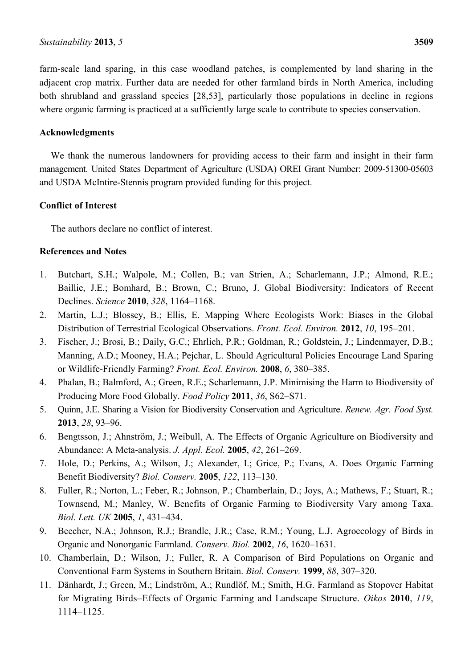farm-scale land sparing, in this case woodland patches, is complemented by land sharing in the adjacent crop matrix. Further data are needed for other farmland birds in North America, including both shrubland and grassland species [28,53], particularly those populations in decline in regions where organic farming is practiced at a sufficiently large scale to contribute to species conservation.

## **Acknowledgments**

We thank the numerous landowners for providing access to their farm and insight in their farm management. United States Department of Agriculture (USDA) OREI Grant Number: 2009-51300-05603 and USDA McIntire-Stennis program provided funding for this project.

## **Conflict of Interest**

The authors declare no conflict of interest.

## **References and Notes**

- 1. Butchart, S.H.; Walpole, M.; Collen, B.; van Strien, A.; Scharlemann, J.P.; Almond, R.E.; Baillie, J.E.; Bomhard, B.; Brown, C.; Bruno, J. Global Biodiversity: Indicators of Recent Declines. *Science* **2010**, *328*, 1164–1168.
- 2. Martin, L.J.; Blossey, B.; Ellis, E. Mapping Where Ecologists Work: Biases in the Global Distribution of Terrestrial Ecological Observations. *Front. Ecol. Environ.* **2012**, *10*, 195–201.
- 3. Fischer, J.; Brosi, B.; Daily, G.C.; Ehrlich, P.R.; Goldman, R.; Goldstein, J.; Lindenmayer, D.B.; Manning, A.D.; Mooney, H.A.; Pejchar, L. Should Agricultural Policies Encourage Land Sparing or Wildlife-Friendly Farming? *Front. Ecol. Environ.* **2008**, *6*, 380–385.
- 4. Phalan, B.; Balmford, A.; Green, R.E.; Scharlemann, J.P. Minimising the Harm to Biodiversity of Producing More Food Globally. *Food Policy* **2011**, *36*, S62–S71.
- 5. Quinn, J.E. Sharing a Vision for Biodiversity Conservation and Agriculture. *Renew. Agr. Food Syst.* **2013**, *28*, 93–96.
- 6. Bengtsson, J.; Ahnström, J.; Weibull, A. The Effects of Organic Agriculture on Biodiversity and Abundance: A Meta‐analysis. *J. Appl. Ecol.* **2005**, *42*, 261–269.
- 7. Hole, D.; Perkins, A.; Wilson, J.; Alexander, I.; Grice, P.; Evans, A. Does Organic Farming Benefit Biodiversity? *Biol. Conserv.* **2005**, *122*, 113–130.
- 8. Fuller, R.; Norton, L.; Feber, R.; Johnson, P.; Chamberlain, D.; Joys, A.; Mathews, F.; Stuart, R.; Townsend, M.; Manley, W. Benefits of Organic Farming to Biodiversity Vary among Taxa. *Biol. Lett. UK* **2005**, *1*, 431–434.
- 9. Beecher, N.A.; Johnson, R.J.; Brandle, J.R.; Case, R.M.; Young, L.J. Agroecology of Birds in Organic and Nonorganic Farmland. *Conserv. Biol.* **2002**, *16*, 1620–1631.
- 10. Chamberlain, D.; Wilson, J.; Fuller, R. A Comparison of Bird Populations on Organic and Conventional Farm Systems in Southern Britain. *Biol. Conserv.* **1999**, *88*, 307–320.
- 11. Dänhardt, J.; Green, M.; Lindström, A.; Rundlöf, M.; Smith, H.G. Farmland as Stopover Habitat for Migrating Birds–Effects of Organic Farming and Landscape Structure. *Oikos* **2010**, *119*, 1114–1125.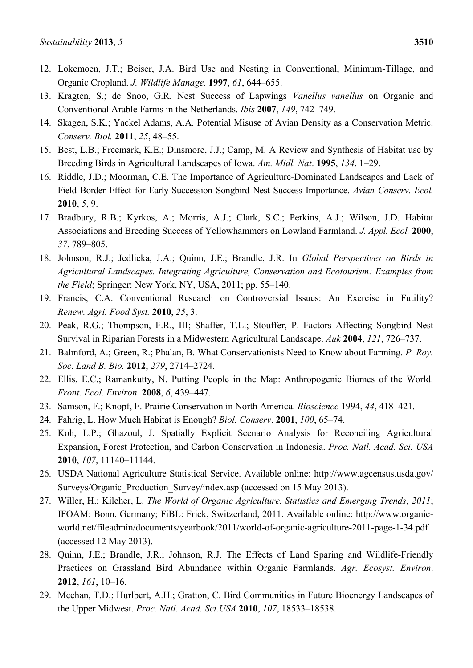- 12. Lokemoen, J.T.; Beiser, J.A. Bird Use and Nesting in Conventional, Minimum-Tillage, and Organic Cropland. *J. Wildlife Manage.* **1997**, *61*, 644–655.
- 13. Kragten, S.; de Snoo, G.R. Nest Success of Lapwings *Vanellus vanellus* on Organic and Conventional Arable Farms in the Netherlands. *Ibis* **2007**, *149*, 742–749.
- 14. Skagen, S.K.; Yackel Adams, A.A. Potential Misuse of Avian Density as a Conservation Metric. *Conserv. Biol.* **2011**, *25*, 48–55.
- 15. Best, L.B.; Freemark, K.E.; Dinsmore, J.J.; Camp, M. A Review and Synthesis of Habitat use by Breeding Birds in Agricultural Landscapes of Iowa. *Am. Midl. Nat*. **1995**, *134*, 1–29.
- 16. Riddle, J.D.; Moorman, C.E. The Importance of Agriculture-Dominated Landscapes and Lack of Field Border Effect for Early-Succession Songbird Nest Success Importance. *Avian Conserv*. *Ecol.* **2010**, *5*, 9.
- 17. Bradbury, R.B.; Kyrkos, A.; Morris, A.J.; Clark, S.C.; Perkins, A.J.; Wilson, J.D. Habitat Associations and Breeding Success of Yellowhammers on Lowland Farmland. *J. Appl. Ecol.* **2000**, *37*, 789–805.
- 18. Johnson, R.J.; Jedlicka, J.A.; Quinn, J.E.; Brandle, J.R. In *Global Perspectives on Birds in Agricultural Landscapes. Integrating Agriculture, Conservation and Ecotourism: Examples from the Field*; Springer: New York, NY, USA, 2011; pp. 55–140.
- 19. Francis, C.A. Conventional Research on Controversial Issues: An Exercise in Futility? *Renew. Agri. Food Syst.* **2010**, *25*, 3.
- 20. Peak, R.G.; Thompson, F.R., III; Shaffer, T.L.; Stouffer, P. Factors Affecting Songbird Nest Survival in Riparian Forests in a Midwestern Agricultural Landscape. *Auk* **2004**, *121*, 726–737.
- 21. Balmford, A.; Green, R.; Phalan, B. What Conservationists Need to Know about Farming. *P. Roy. Soc. Land B. Bio.* **2012**, *279*, 2714–2724.
- 22. Ellis, E.C.; Ramankutty, N. Putting People in the Map: Anthropogenic Biomes of the World. *Front. Ecol. Environ.* **2008**, *6*, 439–447.
- 23. Samson, F.; Knopf, F. Prairie Conservation in North America. *Bioscience* 1994, *44*, 418–421.
- 24. Fahrig, L. How Much Habitat is Enough? *Biol. Conserv*. **2001**, *100*, 65–74.
- 25. Koh, L.P.; Ghazoul, J. Spatially Explicit Scenario Analysis for Reconciling Agricultural Expansion, Forest Protection, and Carbon Conservation in Indonesia. *Proc. Natl. Acad. Sci. USA* **2010**, *107*, 11140–11144.
- 26. USDA National Agriculture Statistical Service. Available online: http://www.agcensus.usda.gov/ Surveys/Organic Production Survey/index.asp (accessed on 15 May 2013).
- 27. Willer, H.; Kilcher, L. *The World of Organic Agriculture. Statistics and Emerging Trends, 2011*; IFOAM: Bonn, Germany; FiBL: Frick, Switzerland, 2011. Available online: http://www.organicworld.net/fileadmin/documents/yearbook/2011/world-of-organic-agriculture-2011-page-1-34.pdf (accessed 12 May 2013).
- 28. Quinn, J.E.; Brandle, J.R.; Johnson, R.J. The Effects of Land Sparing and Wildlife-Friendly Practices on Grassland Bird Abundance within Organic Farmlands. *Agr. Ecosyst. Environ*. **2012**, *161*, 10–16.
- 29. Meehan, T.D.; Hurlbert, A.H.; Gratton, C. Bird Communities in Future Bioenergy Landscapes of the Upper Midwest. *Proc. Natl. Acad. Sci.USA* **2010**, *107*, 18533–18538.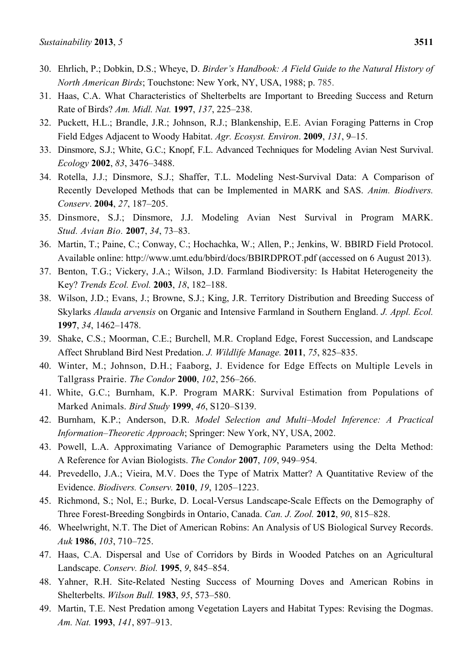- 30. Ehrlich, P.; Dobkin, D.S.; Wheye, D. *Birder's Handbook: A Field Guide to the Natural History of North American Birds*; Touchstone: New York, NY, USA, 1988; p. 785.
- 31. Haas, C.A. What Characteristics of Shelterbelts are Important to Breeding Success and Return Rate of Birds? *Am. Midl. Nat.* **1997**, *137*, 225–238.
- 32. Puckett, H.L.; Brandle, J.R.; Johnson, R.J.; Blankenship, E.E. Avian Foraging Patterns in Crop Field Edges Adjacent to Woody Habitat. *Agr. Ecosyst. Environ*. **2009**, *131*, 9–15.
- 33. Dinsmore, S.J.; White, G.C.; Knopf, F.L. Advanced Techniques for Modeling Avian Nest Survival. *Ecology* **2002**, *83*, 3476–3488.
- 34. Rotella, J.J.; Dinsmore, S.J.; Shaffer, T.L. Modeling Nest-Survival Data: A Comparison of Recently Developed Methods that can be Implemented in MARK and SAS. *Anim. Biodivers. Conserv*. **2004**, *27*, 187–205.
- 35. Dinsmore, S.J.; Dinsmore, J.J. Modeling Avian Nest Survival in Program MARK. *Stud. Avian Bio.* **2007**, *34*, 73–83.
- 36. Martin, T.; Paine, C.; Conway, C.; Hochachka, W.; Allen, P.; Jenkins, W. BBIRD Field Protocol. Available online: http://www.umt.edu/bbird/docs/BBIRDPROT.pdf (accessed on 6 August 2013).
- 37. Benton, T.G.; Vickery, J.A.; Wilson, J.D. Farmland Biodiversity: Is Habitat Heterogeneity the Key? *Trends Ecol. Evol.* **2003**, *18*, 182–188.
- 38. Wilson, J.D.; Evans, J.; Browne, S.J.; King, J.R. Territory Distribution and Breeding Success of Skylarks *Alauda arvensis* on Organic and Intensive Farmland in Southern England. *J. Appl. Ecol.* **1997**, *34*, 1462–1478.
- 39. Shake, C.S.; Moorman, C.E.; Burchell, M.R. Cropland Edge, Forest Succession, and Landscape Affect Shrubland Bird Nest Predation. *J. Wildlife Manage.* **2011**, *75*, 825–835.
- 40. Winter, M.; Johnson, D.H.; Faaborg, J. Evidence for Edge Effects on Multiple Levels in Tallgrass Prairie. *The Condor* **2000**, *102*, 256–266.
- 41. White, G.C.; Burnham, K.P. Program MARK: Survival Estimation from Populations of Marked Animals. *Bird Study* **1999**, *46*, S120–S139.
- 42. Burnham, K.P.; Anderson, D.R. *Model Selection and Multi–Model Inference: A Practical Information–Theoretic Approach*; Springer: New York, NY, USA, 2002.
- 43. Powell, L.A. Approximating Variance of Demographic Parameters using the Delta Method: A Reference for Avian Biologists. *The Condor* **2007**, *109*, 949–954.
- 44. Prevedello, J.A.; Vieira, M.V. Does the Type of Matrix Matter? A Quantitative Review of the Evidence. *Biodivers. Conserv.* **2010**, *19*, 1205–1223.
- 45. Richmond, S.; Nol, E.; Burke, D. Local-Versus Landscape-Scale Effects on the Demography of Three Forest-Breeding Songbirds in Ontario, Canada. *Can. J. Zool.* **2012**, *90*, 815–828.
- 46. Wheelwright, N.T. The Diet of American Robins: An Analysis of US Biological Survey Records. *Auk* **1986**, *103*, 710–725.
- 47. Haas, C.A. Dispersal and Use of Corridors by Birds in Wooded Patches on an Agricultural Landscape. *Conserv. Biol.* **1995**, *9*, 845–854.
- 48. Yahner, R.H. Site-Related Nesting Success of Mourning Doves and American Robins in Shelterbelts. *Wilson Bull.* **1983**, *95*, 573–580.
- 49. Martin, T.E. Nest Predation among Vegetation Layers and Habitat Types: Revising the Dogmas. *Am. Nat.* **1993**, *141*, 897–913.